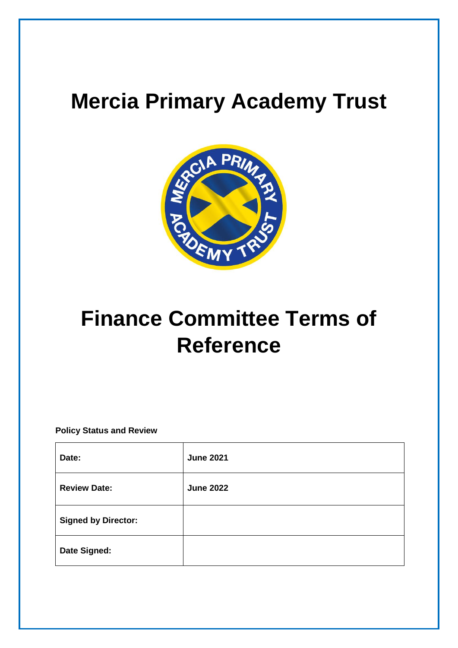## **Mercia Primary Academy Trust**



# **Finance Committee Terms of Reference**

**Policy Status and Review**

| Date:                      | <b>June 2021</b> |
|----------------------------|------------------|
| <b>Review Date:</b>        | <b>June 2022</b> |
| <b>Signed by Director:</b> |                  |
| Date Signed:               |                  |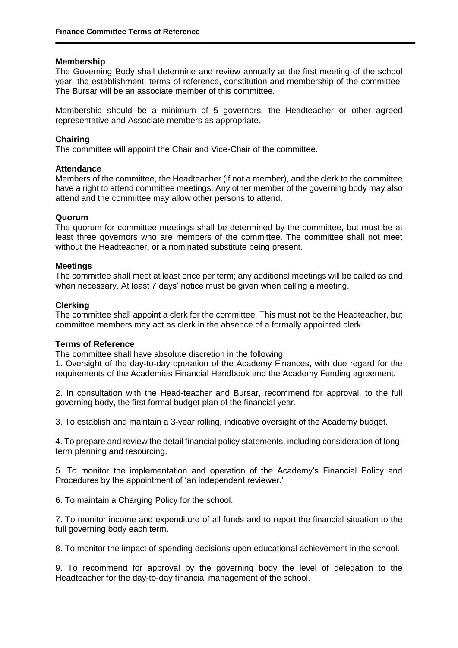#### **Membership**

The Governing Body shall determine and review annually at the first meeting of the school year, the establishment, terms of reference, constitution and membership of the committee. The Bursar will be an associate member of this committee.

Membership should be a minimum of 5 governors, the Headteacher or other agreed representative and Associate members as appropriate.

#### **Chairing**

The committee will appoint the Chair and Vice-Chair of the committee.

#### **Attendance**

Members of the committee, the Headteacher (if not a member), and the clerk to the committee have a right to attend committee meetings. Any other member of the governing body may also attend and the committee may allow other persons to attend.

#### **Quorum**

The quorum for committee meetings shall be determined by the committee, but must be at least three governors who are members of the committee. The committee shall not meet without the Headteacher, or a nominated substitute being present.

#### **Meetings**

The committee shall meet at least once per term; any additional meetings will be called as and when necessary. At least 7 days' notice must be given when calling a meeting.

#### **Clerking**

The committee shall appoint a clerk for the committee. This must not be the Headteacher, but committee members may act as clerk in the absence of a formally appointed clerk.

#### **Terms of Reference**

The committee shall have absolute discretion in the following:

1. Oversight of the day-to-day operation of the Academy Finances, with due regard for the requirements of the Academies Financial Handbook and the Academy Funding agreement.

2. In consultation with the Head-teacher and Bursar, recommend for approval, to the full governing body, the first formal budget plan of the financial year.

3. To establish and maintain a 3-year rolling, indicative oversight of the Academy budget.

4. To prepare and review the detail financial policy statements, including consideration of longterm planning and resourcing.

5. To monitor the implementation and operation of the Academy's Financial Policy and Procedures by the appointment of 'an independent reviewer.'

6. To maintain a Charging Policy for the school.

7. To monitor income and expenditure of all funds and to report the financial situation to the full governing body each term.

8. To monitor the impact of spending decisions upon educational achievement in the school.

9. To recommend for approval by the governing body the level of delegation to the Headteacher for the day-to-day financial management of the school.